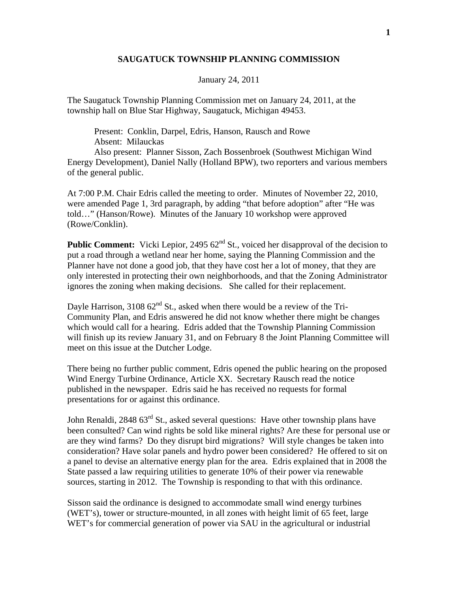## **SAUGATUCK TOWNSHIP PLANNING COMMISSION**

January 24, 2011

The Saugatuck Township Planning Commission met on January 24, 2011, at the township hall on Blue Star Highway, Saugatuck, Michigan 49453.

 Present: Conklin, Darpel, Edris, Hanson, Rausch and Rowe Absent: Milauckas

 Also present: Planner Sisson, Zach Bossenbroek (Southwest Michigan Wind Energy Development), Daniel Nally (Holland BPW), two reporters and various members of the general public.

At 7:00 P.M. Chair Edris called the meeting to order. Minutes of November 22, 2010, were amended Page 1, 3rd paragraph, by adding "that before adoption" after "He was told…" (Hanson/Rowe). Minutes of the January 10 workshop were approved (Rowe/Conklin).

**Public Comment:** Vicki Lepior, 2495 62<sup>nd</sup> St., voiced her disapproval of the decision to put a road through a wetland near her home, saying the Planning Commission and the Planner have not done a good job, that they have cost her a lot of money, that they are only interested in protecting their own neighborhoods, and that the Zoning Administrator ignores the zoning when making decisions. She called for their replacement.

Dayle Harrison,  $310862<sup>nd</sup>$  St., asked when there would be a review of the Tri-Community Plan, and Edris answered he did not know whether there might be changes which would call for a hearing. Edris added that the Township Planning Commission will finish up its review January 31, and on February 8 the Joint Planning Committee will meet on this issue at the Dutcher Lodge.

There being no further public comment, Edris opened the public hearing on the proposed Wind Energy Turbine Ordinance, Article XX. Secretary Rausch read the notice published in the newspaper. Edris said he has received no requests for formal presentations for or against this ordinance.

John Renaldi, 2848 63<sup>rd</sup> St., asked several questions: Have other township plans have been consulted? Can wind rights be sold like mineral rights? Are these for personal use or are they wind farms? Do they disrupt bird migrations? Will style changes be taken into consideration? Have solar panels and hydro power been considered? He offered to sit on a panel to devise an alternative energy plan for the area. Edris explained that in 2008 the State passed a law requiring utilities to generate 10% of their power via renewable sources, starting in 2012. The Township is responding to that with this ordinance.

Sisson said the ordinance is designed to accommodate small wind energy turbines (WET's), tower or structure-mounted, in all zones with height limit of 65 feet, large WET's for commercial generation of power via SAU in the agricultural or industrial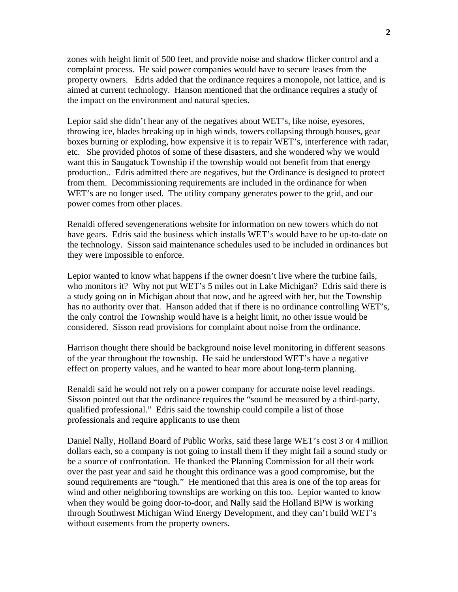zones with height limit of 500 feet, and provide noise and shadow flicker control and a complaint process. He said power companies would have to secure leases from the property owners. Edris added that the ordinance requires a monopole, not lattice, and is aimed at current technology. Hanson mentioned that the ordinance requires a study of the impact on the environment and natural species.

Lepior said she didn't hear any of the negatives about WET's, like noise, eyesores, throwing ice, blades breaking up in high winds, towers collapsing through houses, gear boxes burning or exploding, how expensive it is to repair WET's, interference with radar, etc. She provided photos of some of these disasters, and she wondered why we would want this in Saugatuck Township if the township would not benefit from that energy production.. Edris admitted there are negatives, but the Ordinance is designed to protect from them. Decommissioning requirements are included in the ordinance for when WET's are no longer used. The utility company generates power to the grid, and our power comes from other places.

Renaldi offered sevengenerations website for information on new towers which do not have gears. Edris said the business which installs WET's would have to be up-to-date on the technology. Sisson said maintenance schedules used to be included in ordinances but they were impossible to enforce.

Lepior wanted to know what happens if the owner doesn't live where the turbine fails, who monitors it? Why not put WET's 5 miles out in Lake Michigan? Edris said there is a study going on in Michigan about that now, and he agreed with her, but the Township has no authority over that. Hanson added that if there is no ordinance controlling WET's, the only control the Township would have is a height limit, no other issue would be considered. Sisson read provisions for complaint about noise from the ordinance.

Harrison thought there should be background noise level monitoring in different seasons of the year throughout the township. He said he understood WET's have a negative effect on property values, and he wanted to hear more about long-term planning.

Renaldi said he would not rely on a power company for accurate noise level readings. Sisson pointed out that the ordinance requires the "sound be measured by a third-party, qualified professional." Edris said the township could compile a list of those professionals and require applicants to use them

Daniel Nally, Holland Board of Public Works, said these large WET's cost 3 or 4 million dollars each, so a company is not going to install them if they might fail a sound study or be a source of confrontation. He thanked the Planning Commission for all their work over the past year and said he thought this ordinance was a good compromise, but the sound requirements are "tough." He mentioned that this area is one of the top areas for wind and other neighboring townships are working on this too. Lepior wanted to know when they would be going door-to-door, and Nally said the Holland BPW is working through Southwest Michigan Wind Energy Development, and they can't build WET's without easements from the property owners.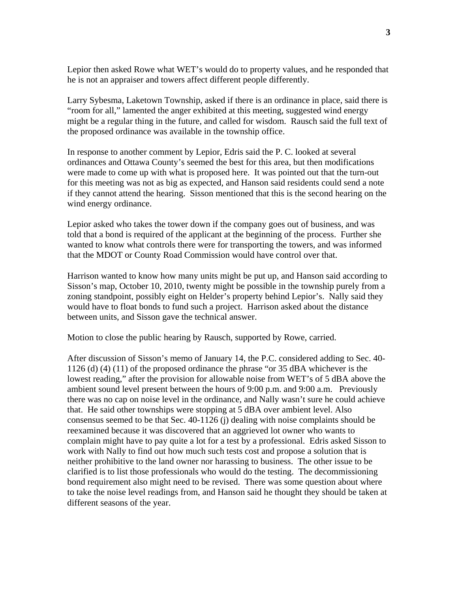Lepior then asked Rowe what WET's would do to property values, and he responded that he is not an appraiser and towers affect different people differently.

Larry Sybesma, Laketown Township, asked if there is an ordinance in place, said there is "room for all," lamented the anger exhibited at this meeting, suggested wind energy might be a regular thing in the future, and called for wisdom. Rausch said the full text of the proposed ordinance was available in the township office.

In response to another comment by Lepior, Edris said the P. C. looked at several ordinances and Ottawa County's seemed the best for this area, but then modifications were made to come up with what is proposed here. It was pointed out that the turn-out for this meeting was not as big as expected, and Hanson said residents could send a note if they cannot attend the hearing. Sisson mentioned that this is the second hearing on the wind energy ordinance.

Lepior asked who takes the tower down if the company goes out of business, and was told that a bond is required of the applicant at the beginning of the process. Further she wanted to know what controls there were for transporting the towers, and was informed that the MDOT or County Road Commission would have control over that.

Harrison wanted to know how many units might be put up, and Hanson said according to Sisson's map, October 10, 2010, twenty might be possible in the township purely from a zoning standpoint, possibly eight on Helder's property behind Lepior's. Nally said they would have to float bonds to fund such a project. Harrison asked about the distance between units, and Sisson gave the technical answer.

Motion to close the public hearing by Rausch, supported by Rowe, carried.

After discussion of Sisson's memo of January 14, the P.C. considered adding to Sec. 40- 1126 (d) (4) (11) of the proposed ordinance the phrase "or 35 dBA whichever is the lowest reading," after the provision for allowable noise from WET's of 5 dBA above the ambient sound level present between the hours of 9:00 p.m. and 9:00 a.m. Previously there was no cap on noise level in the ordinance, and Nally wasn't sure he could achieve that. He said other townships were stopping at 5 dBA over ambient level. Also consensus seemed to be that Sec. 40-1126 (j) dealing with noise complaints should be reexamined because it was discovered that an aggrieved lot owner who wants to complain might have to pay quite a lot for a test by a professional. Edris asked Sisson to work with Nally to find out how much such tests cost and propose a solution that is neither prohibitive to the land owner nor harassing to business. The other issue to be clarified is to list those professionals who would do the testing. The decommissioning bond requirement also might need to be revised. There was some question about where to take the noise level readings from, and Hanson said he thought they should be taken at different seasons of the year.